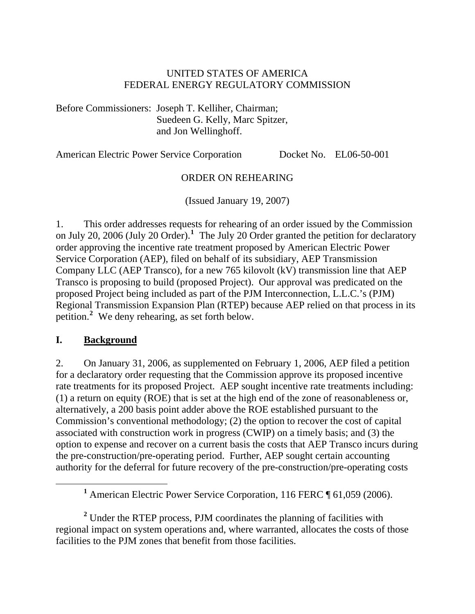#### UNITED STATES OF AMERICA FEDERAL ENERGY REGULATORY COMMISSION

Before Commissioners: Joseph T. Kelliher, Chairman; Suedeen G. Kelly, Marc Spitzer, and Jon Wellinghoff.

American Electric Power Service Corporation Docket No. EL06-50-001

#### ORDER ON REHEARING

(Issued January 19, 2007)

1. This order addresses requests for rehearing of an order issued by the Commission on July 20, 2006 (July 20 Order).**[1](#page-0-0)** The July 20 Order granted the petition for declaratory order approving the incentive rate treatment proposed by American Electric Power Service Corporation (AEP), filed on behalf of its subsidiary, AEP Transmission Company LLC (AEP Transco), for a new 765 kilovolt (kV) transmission line that AEP Transco is proposing to build (proposed Project). Our approval was predicated on the proposed Project being included as part of the PJM Interconnection, L.L.C.'s (PJM) Regional Transmission Expansion Plan (RTEP) because AEP relied on that process in its petition.**[2](#page-0-1)** We deny rehearing, as set forth below.

#### **I. Background**

2. On January 31, 2006, as supplemented on February 1, 2006, AEP filed a petition for a declaratory order requesting that the Commission approve its proposed incentive rate treatments for its proposed Project. AEP sought incentive rate treatments including: (1) a return on equity (ROE) that is set at the high end of the zone of reasonableness or, alternatively, a 200 basis point adder above the ROE established pursuant to the Commission's conventional methodology; (2) the option to recover the cost of capital associated with construction work in progress (CWIP) on a timely basis; and (3) the option to expense and recover on a current basis the costs that AEP Transco incurs during the pre-construction/pre-operating period. Further, AEP sought certain accounting authority for the deferral for future recovery of the pre-construction/pre-operating costs

<span id="page-0-1"></span><sup>2</sup> Under the RTEP process, PJM coordinates the planning of facilities with regional impact on system operations and, where warranted, allocates the costs of those facilities to the PJM zones that benefit from those facilities.

<span id="page-0-0"></span><sup>&</sup>lt;u>1</u> <sup>1</sup> American Electric Power Service Corporation, 116 FERC ¶ 61,059 (2006).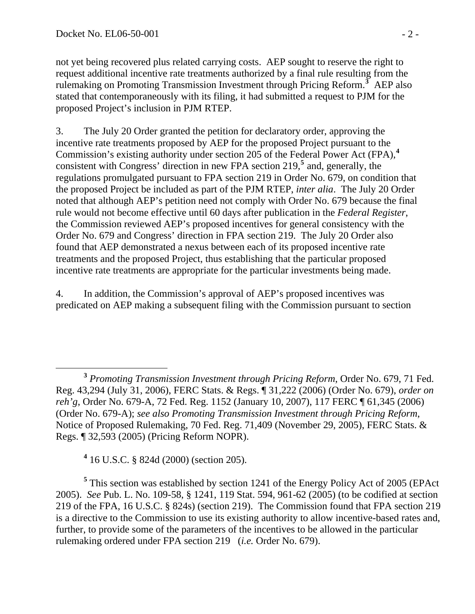not yet being recovered plus related carrying costs. AEP sought to reserve the right to request additional incentive rate treatments authorized by a final rule resulting from the rulemaking on Promoting Transmission Investment through Pricing Reform.**[3](#page-1-0)** AEP also stated that contemporaneously with its filing, it had submitted a request to PJM for the proposed Project's inclusion in PJM RTEP.

3. The July 20 Order granted the petition for declaratory order, approving the incentive rate treatments proposed by AEP for the proposed Project pursuant to the Commission's existing authority under section 205 of the Federal Power Act (FPA),**[4](#page-1-1)** consistent with Congress' direction in new FPA section 219,**[5](#page-1-2)** and, generally, the regulations promulgated pursuant to FPA section 219 in Order No. 679, on condition that the proposed Project be included as part of the PJM RTEP, *inter alia*. The July 20 Order noted that although AEP's petition need not comply with Order No. 679 because the final rule would not become effective until 60 days after publication in the *Federal Register*, the Commission reviewed AEP's proposed incentives for general consistency with the Order No. 679 and Congress' direction in FPA section 219. The July 20 Order also found that AEP demonstrated a nexus between each of its proposed incentive rate treatments and the proposed Project, thus establishing that the particular proposed incentive rate treatments are appropriate for the particular investments being made.

4. In addition, the Commission's approval of AEP's proposed incentives was predicated on AEP making a subsequent filing with the Commission pursuant to section

**4** 16 U.S.C. § 824d (2000) (section 205).

<span id="page-1-2"></span><span id="page-1-1"></span><sup>5</sup> This section was established by section 1241 of the Energy Policy Act of 2005 (EPAct 2005). *See* Pub. L. No. 109-58, § 1241, 119 Stat. 594, 961-62 (2005) (to be codified at section 219 of the FPA, 16 U.S.C. § 824s) (section 219). The Commission found that FPA section 219 is a directive to the Commission to use its existing authority to allow incentive-based rates and, further, to provide some of the parameters of the incentives to be allowed in the particular rulemaking ordered under FPA section 219 (*i.e.* Order No. 679).

<span id="page-1-0"></span>**<sup>3</sup>** *Promoting Transmission Investment through Pricing Reform*, Order No. 679, 71 Fed. Reg. 43,294 (July 31, 2006), FERC Stats. & Regs. ¶ 31,222 (2006) (Order No. 679), *order on reh'g*, Order No. 679-A, 72 Fed. Reg. 1152 (January 10, 2007), 117 FERC ¶ 61,345 (2006) (Order No. 679-A); *see also Promoting Transmission Investment through Pricing Reform*, Notice of Proposed Rulemaking, 70 Fed. Reg. 71,409 (November 29, 2005), FERC Stats. & Regs. ¶ 32,593 (2005) (Pricing Reform NOPR).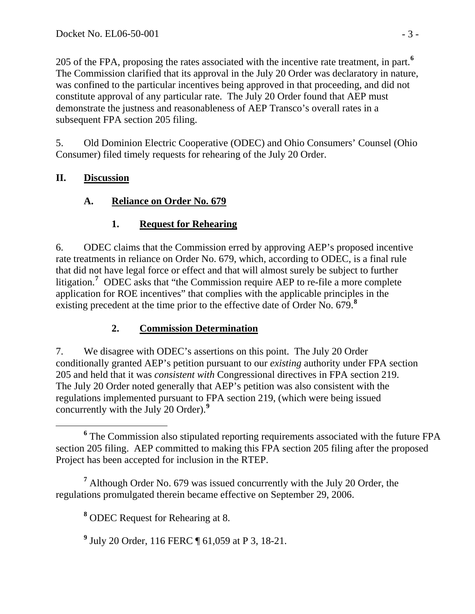205 of the FPA, proposing the rates associated with the incentive rate treatment, in part.**[6](#page-2-0)** The Commission clarified that its approval in the July 20 Order was declaratory in nature, was confined to the particular incentives being approved in that proceeding, and did not constitute approval of any particular rate. The July 20 Order found that AEP must demonstrate the justness and reasonableness of AEP Transco's overall rates in a subsequent FPA section 205 filing.

5. Old Dominion Electric Cooperative (ODEC) and Ohio Consumers' Counsel (Ohio Consumer) filed timely requests for rehearing of the July 20 Order.

## **II. Discussion**

## **A. Reliance on Order No. 679**

## **1. Request for Rehearing**

6. ODEC claims that the Commission erred by approving AEP's proposed incentive rate treatments in reliance on Order No. 679, which, according to ODEC, is a final rule that did not have legal force or effect and that will almost surely be subject to further litigation.<sup>[7](#page-2-1)</sup> ODEC asks that "the Commission require AEP to re-file a more complete application for ROE incentives" that complies with the applicable principles in the existing precedent at the time prior to the effective date of Order No. 679.**[8](#page-2-2)**

## **2. Commission Determination**

7. We disagree with ODEC's assertions on this point. The July 20 Order conditionally granted AEP's petition pursuant to our *existing* authority under FPA section 205 and held that it was *consistent with* Congressional directives in FPA section 219. The July 20 Order noted generally that AEP's petition was also consistent with the regulations implemented pursuant to FPA section 219, (which were being issued concurrently with the July 20 Order).**[9](#page-2-3)**

<span id="page-2-3"></span><span id="page-2-2"></span><span id="page-2-1"></span><sup>7</sup> Although Order No. 679 was issued concurrently with the July 20 Order, the regulations promulgated therein became effective on September 29, 2006.

**8** ODEC Request for Rehearing at 8.

**9** July 20 Order, 116 FERC ¶ 61,059 at P 3, 18-21.

<span id="page-2-0"></span>**<sup>6</sup>** <sup>6</sup> The Commission also stipulated reporting requirements associated with the future FPA section 205 filing. AEP committed to making this FPA section 205 filing after the proposed Project has been accepted for inclusion in the RTEP.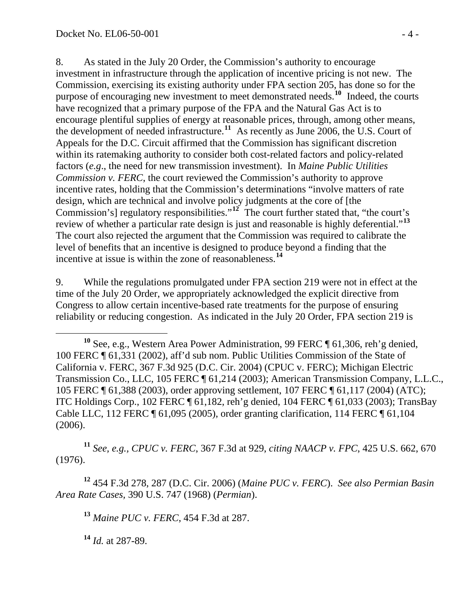8. As stated in the July 20 Order, the Commission's authority to encourage investment in infrastructure through the application of incentive pricing is not new. The Commission, exercising its existing authority under FPA section 205, has done so for the purpose of encouraging new investment to meet demonstrated needs.**[10](#page-3-0)** Indeed, the courts have recognized that a primary purpose of the FPA and the Natural Gas Act is to encourage plentiful supplies of energy at reasonable prices, through, among other means, the development of needed infrastructure.**[11](#page-3-1)** As recently as June 2006, the U.S. Court of Appeals for the D.C. Circuit affirmed that the Commission has significant discretion within its ratemaking authority to consider both cost-related factors and policy-related factors (*e.g*., the need for new transmission investment). In *Maine Public Utilities Commission v. FERC*, the court reviewed the Commission's authority to approve incentive rates, holding that the Commission's determinations "involve matters of rate design, which are technical and involve policy judgments at the core of [the Commission's] regulatory responsibilities."**[12](#page-3-2)** The court further stated that, "the court's review of whether a particular rate design is just and reasonable is highly deferential."**[13](#page-3-3)** The court also rejected the argument that the Commission was required to calibrate the level of benefits that an incentive is designed to produce beyond a finding that the incentive at issue is within the zone of reasonableness.**[14](#page-3-4)**

9. While the regulations promulgated under FPA section 219 were not in effect at the time of the July 20 Order, we appropriately acknowledged the explicit directive from Congress to allow certain incentive-based rate treatments for the purpose of ensuring reliability or reducing congestion. As indicated in the July 20 Order, FPA section 219 is

<span id="page-3-1"></span>**<sup>11</sup>** *See, e.g., CPUC v. FERC*, 367 F.3d at 929, *citing NAACP v. FPC*, 425 U.S. 662, 670 (1976).

<span id="page-3-4"></span><span id="page-3-3"></span><span id="page-3-2"></span>**<sup>12</sup>** 454 F.3d 278, 287 (D.C. Cir. 2006) (*Maine PUC v. FERC*). *See also Permian Basin Area Rate Cases,* 390 U.S. 747 (1968) (*Permian*).

**<sup>13</sup>** *Maine PUC v. FERC*, 454 F.3d at 287.

**<sup>14</sup>** *Id.* at 287-89.

<span id="page-3-0"></span>**<sup>10</sup>** See, e.g., Western Area Power Administration, 99 FERC ¶ 61,306, reh'g denied, 100 FERC ¶ 61,331 (2002), aff'd sub nom. Public Utilities Commission of the State of California v. FERC, 367 F.3d 925 (D.C. Cir. 2004) (CPUC v. FERC); Michigan Electric Transmission Co., LLC, 105 FERC ¶ 61,214 (2003); American Transmission Company, L.L.C., 105 FERC ¶ 61,388 (2003), order approving settlement, 107 FERC ¶ 61,117 (2004) (ATC); ITC Holdings Corp., 102 FERC ¶ 61,182, reh'g denied, 104 FERC ¶ 61,033 (2003); TransBay Cable LLC, 112 FERC ¶ 61,095 (2005), order granting clarification, 114 FERC ¶ 61,104 (2006).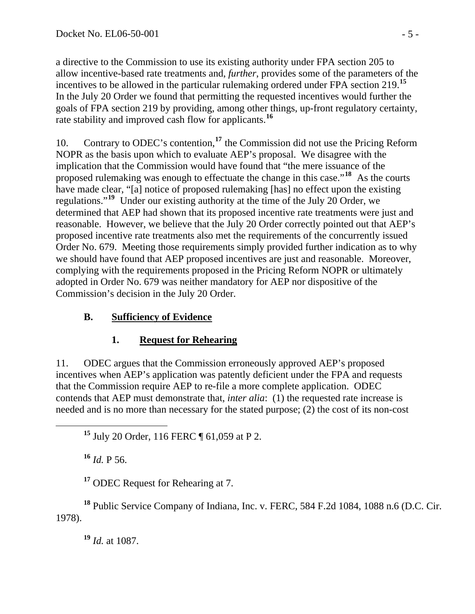a directive to the Commission to use its existing authority under FPA section 205 to allow incentive-based rate treatments and, *further*, provides some of the parameters of the incentives to be allowed in the particular rulemaking ordered under FPA section 219.**[15](#page-4-0)** In the July 20 Order we found that permitting the requested incentives would further the goals of FPA section 219 by providing, among other things, up-front regulatory certainty, rate stability and improved cash flow for applicants.**[16](#page-4-1)**

10. Contrary to ODEC's contention,**[17](#page-4-2)** the Commission did not use the Pricing Reform NOPR as the basis upon which to evaluate AEP's proposal. We disagree with the implication that the Commission would have found that "the mere issuance of the proposed rulemaking was enough to effectuate the change in this case."**[18](#page-4-3)** As the courts have made clear, "[a] notice of proposed rulemaking [has] no effect upon the existing regulations."**[19](#page-4-4)** Under our existing authority at the time of the July 20 Order, we determined that AEP had shown that its proposed incentive rate treatments were just and reasonable. However, we believe that the July 20 Order correctly pointed out that AEP's proposed incentive rate treatments also met the requirements of the concurrently issued Order No. 679. Meeting those requirements simply provided further indication as to why we should have found that AEP proposed incentives are just and reasonable. Moreover, complying with the requirements proposed in the Pricing Reform NOPR or ultimately adopted in Order No. 679 was neither mandatory for AEP nor dispositive of the Commission's decision in the July 20 Order.

# **B. Sufficiency of Evidence**

## **1. Request for Rehearing**

11. ODEC argues that the Commission erroneously approved AEP's proposed incentives when AEP's application was patently deficient under the FPA and requests that the Commission require AEP to re-file a more complete application. ODEC contends that AEP must demonstrate that, *inter alia*: (1) the requested rate increase is needed and is no more than necessary for the stated purpose; (2) the cost of its non-cost

<span id="page-4-0"></span>**<sup>15</sup>** July 20 Order, 116 FERC ¶ 61,059 at P 2.

**<sup>16</sup>** *Id.* P 56.

**<sup>17</sup>** ODEC Request for Rehearing at 7.

<span id="page-4-4"></span><span id="page-4-3"></span><span id="page-4-2"></span><span id="page-4-1"></span>**<sup>18</sup>** Public Service Company of Indiana, Inc. v. FERC, 584 F.2d 1084, 1088 n.6 (D.C. Cir. 1978).

**<sup>19</sup>** *Id.* at 1087.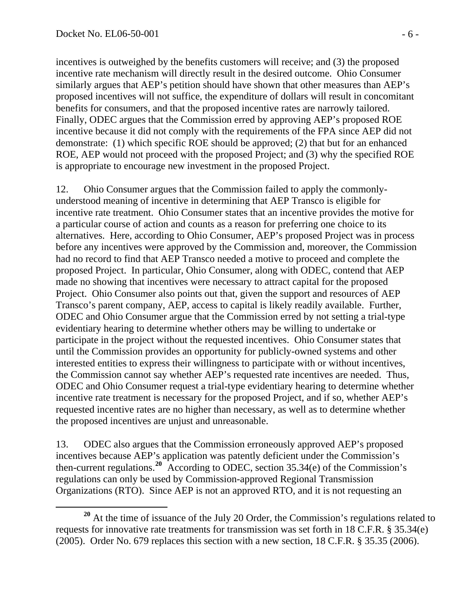incentives is outweighed by the benefits customers will receive; and (3) the proposed incentive rate mechanism will directly result in the desired outcome. Ohio Consumer similarly argues that AEP's petition should have shown that other measures than AEP's proposed incentives will not suffice, the expenditure of dollars will result in concomitant benefits for consumers, and that the proposed incentive rates are narrowly tailored. Finally, ODEC argues that the Commission erred by approving AEP's proposed ROE incentive because it did not comply with the requirements of the FPA since AEP did not demonstrate: (1) which specific ROE should be approved; (2) that but for an enhanced ROE, AEP would not proceed with the proposed Project; and (3) why the specified ROE is appropriate to encourage new investment in the proposed Project.

12. Ohio Consumer argues that the Commission failed to apply the commonlyunderstood meaning of incentive in determining that AEP Transco is eligible for incentive rate treatment. Ohio Consumer states that an incentive provides the motive for a particular course of action and counts as a reason for preferring one choice to its alternatives. Here, according to Ohio Consumer, AEP's proposed Project was in process before any incentives were approved by the Commission and, moreover, the Commission had no record to find that AEP Transco needed a motive to proceed and complete the proposed Project. In particular, Ohio Consumer, along with ODEC, contend that AEP made no showing that incentives were necessary to attract capital for the proposed Project. Ohio Consumer also points out that, given the support and resources of AEP Transco's parent company, AEP, access to capital is likely readily available. Further, ODEC and Ohio Consumer argue that the Commission erred by not setting a trial-type evidentiary hearing to determine whether others may be willing to undertake or participate in the project without the requested incentives. Ohio Consumer states that until the Commission provides an opportunity for publicly-owned systems and other interested entities to express their willingness to participate with or without incentives, the Commission cannot say whether AEP's requested rate incentives are needed. Thus, ODEC and Ohio Consumer request a trial-type evidentiary hearing to determine whether incentive rate treatment is necessary for the proposed Project, and if so, whether AEP's requested incentive rates are no higher than necessary, as well as to determine whether the proposed incentives are unjust and unreasonable.

13. ODEC also argues that the Commission erroneously approved AEP's proposed incentives because AEP's application was patently deficient under the Commission's then-current regulations.**[20](#page-5-0)** According to ODEC, section 35.34(e) of the Commission's regulations can only be used by Commission-approved Regional Transmission Organizations (RTO). Since AEP is not an approved RTO, and it is not requesting an

<span id="page-5-0"></span>**<sup>20</sup>** At the time of issuance of the July 20 Order, the Commission's regulations related to requests for innovative rate treatments for transmission was set forth in 18 C.F.R. § 35.34(e) (2005). Order No. 679 replaces this section with a new section, 18 C.F.R. § 35.35 (2006).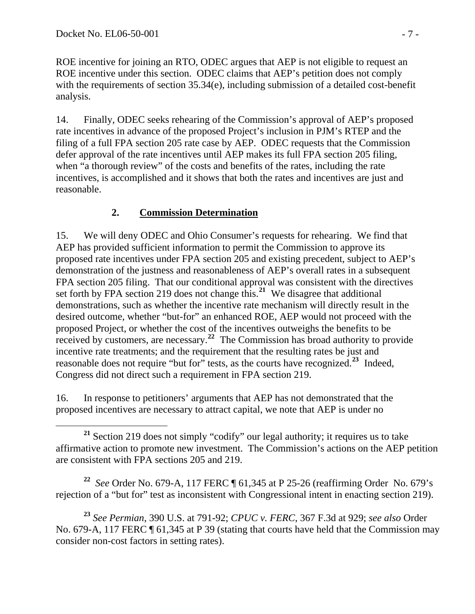ROE incentive for joining an RTO, ODEC argues that AEP is not eligible to request an ROE incentive under this section. ODEC claims that AEP's petition does not comply with the requirements of section 35.34(e), including submission of a detailed cost-benefit analysis.

14. Finally, ODEC seeks rehearing of the Commission's approval of AEP's proposed rate incentives in advance of the proposed Project's inclusion in PJM's RTEP and the filing of a full FPA section 205 rate case by AEP. ODEC requests that the Commission defer approval of the rate incentives until AEP makes its full FPA section 205 filing, when "a thorough review" of the costs and benefits of the rates, including the rate incentives, is accomplished and it shows that both the rates and incentives are just and reasonable.

### **2. Commission Determination**

15. We will deny ODEC and Ohio Consumer's requests for rehearing. We find that AEP has provided sufficient information to permit the Commission to approve its proposed rate incentives under FPA section 205 and existing precedent, subject to AEP's demonstration of the justness and reasonableness of AEP's overall rates in a subsequent FPA section 205 filing. That our conditional approval was consistent with the directives set forth by FPA section 219 does not change this.**[21](#page-6-0)** We disagree that additional demonstrations, such as whether the incentive rate mechanism will directly result in the desired outcome, whether "but-for" an enhanced ROE, AEP would not proceed with the proposed Project, or whether the cost of the incentives outweighs the benefits to be received by customers, are necessary.**[22](#page-6-1)** The Commission has broad authority to provide incentive rate treatments; and the requirement that the resulting rates be just and reasonable does not require "but for" tests, as the courts have recognized.<sup>[23](#page-6-2)</sup> Indeed, Congress did not direct such a requirement in FPA section 219.

16. In response to petitioners' arguments that AEP has not demonstrated that the proposed incentives are necessary to attract capital, we note that AEP is under no

<span id="page-6-1"></span>**<sup>22</sup>** *See* Order No. 679-A, 117 FERC ¶ 61,345 at P 25-26 (reaffirming Order No. 679's rejection of a "but for" test as inconsistent with Congressional intent in enacting section 219).

<span id="page-6-2"></span>**<sup>23</sup>** *See Permian*, 390 U.S. at 791-92; *CPUC v. FERC*, 367 F.3d at 929; *see also* Order No. 679-A, 117 FERC ¶ 61,345 at P 39 (stating that courts have held that the Commission may consider non-cost factors in setting rates).

<span id="page-6-0"></span>**<sup>21</sup>** Section 219 does not simply "codify" our legal authority; it requires us to take affirmative action to promote new investment. The Commission's actions on the AEP petition are consistent with FPA sections 205 and 219.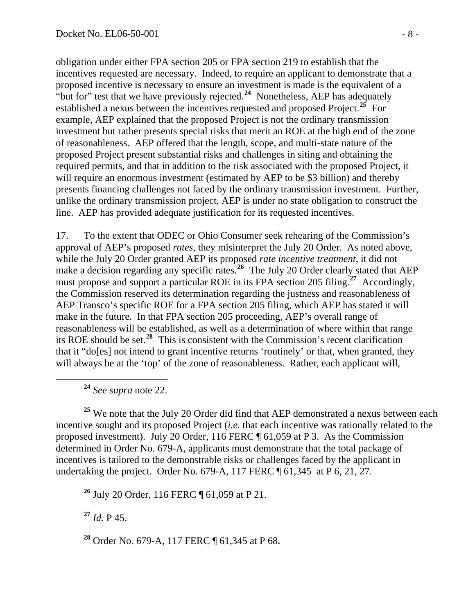obligation under either FPA section 205 or FPA section 219 to establish that the incentives requested are necessary. Indeed, to require an applicant to demonstrate that a proposed incentive is necessary to ensure an investment is made is the equivalent of a "but for" test that we have previously rejected.**[24](#page-7-0)** Nonetheless, AEP has adequately established a nexus between the incentives requested and proposed Project.**[25](#page-7-1)** For example, AEP explained that the proposed Project is not the ordinary transmission investment but rather presents special risks that merit an ROE at the high end of the zone of reasonableness. AEP offered that the length, scope, and multi-state nature of the proposed Project present substantial risks and challenges in siting and obtaining the required permits, and that in addition to the risk associated with the proposed Project, it will require an enormous investment (estimated by AEP to be \$3 billion) and thereby presents financing challenges not faced by the ordinary transmission investment. Further, unlike the ordinary transmission project, AEP is under no state obligation to construct the line. AEP has provided adequate justification for its requested incentives.

17. To the extent that ODEC or Ohio Consumer seek rehearing of the Commission's approval of AEP's proposed *rates*, they misinterpret the July 20 Order. As noted above, while the July 20 Order granted AEP its proposed *rate incentive treatment*, it did not make a decision regarding any specific rates.<sup>[26](#page-7-2)</sup> The July 20 Order clearly stated that AEP must propose and support a particular ROE in its FPA section 205 filing.<sup>[27](#page-7-3)</sup> Accordingly, the Commission reserved its determination regarding the justness and reasonableness of AEP Transco's specific ROE for a FPA section 205 filing, which AEP has stated it will make in the future. In that FPA section 205 proceeding, AEP's overall range of reasonableness will be established, as well as a determination of where within that range its ROE should be set.**[28](#page-7-4)** This is consistent with the Commission's recent clarification that it "do[es] not intend to grant incentive returns 'routinely' or that, when granted, they will always be at the 'top' of the zone of reasonableness. Rather, each applicant will,

**<sup>24</sup>** *See supra* note 22.

<span id="page-7-1"></span><span id="page-7-0"></span><sup>25</sup> We note that the July 20 Order did find that AEP demonstrated a nexus between each incentive sought and its proposed Project (*i.e.* that each incentive was rationally related to the proposed investment). July 20 Order, 116 FERC ¶ 61,059 at P 3. As the Commission determined in Order No. 679-A, applicants must demonstrate that the total package of incentives is tailored to the demonstrable risks or challenges faced by the applicant in undertaking the project. Order No. 679-A, 117 FERC ¶ 61,345 at P 6, 21, 27.

<span id="page-7-2"></span>**<sup>26</sup>** July 20 Order, 116 FERC ¶ 61,059 at P 21.

<span id="page-7-3"></span>**<sup>27</sup>** *Id.* P 45.

<span id="page-7-4"></span>**<sup>28</sup>** Order No. 679-A, 117 FERC ¶ 61,345 at P 68.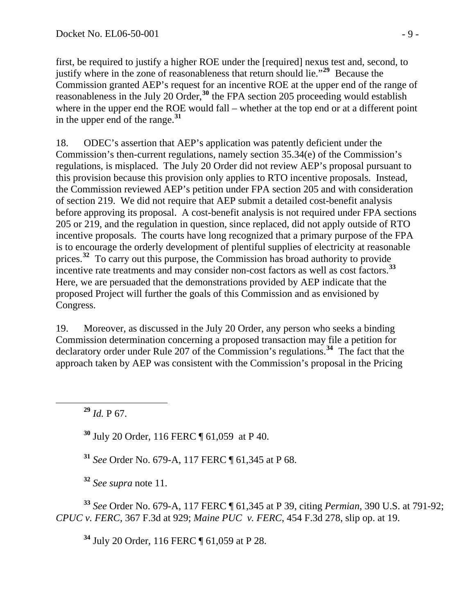first, be required to justify a higher ROE under the [required] nexus test and, second, to justify where in the zone of reasonableness that return should lie."**[29](#page-8-0)** Because the Commission granted AEP's request for an incentive ROE at the upper end of the range of reasonableness in the July 20 Order,**[30](#page-8-1)** the FPA section 205 proceeding would establish where in the upper end the ROE would fall – whether at the top end or at a different point in the upper end of the range.**[31](#page-8-2)**

18. ODEC's assertion that AEP's application was patently deficient under the Commission's then-current regulations, namely section 35.34(e) of the Commission's regulations, is misplaced.The July 20 Order did not review AEP's proposal pursuant to this provision because this provision only applies to RTO incentive proposals. Instead, the Commission reviewed AEP's petition under FPA section 205 and with consideration of section 219. We did not require that AEP submit a detailed cost-benefit analysis before approving its proposal. A cost-benefit analysis is not required under FPA sections 205 or 219, and the regulation in question, since replaced, did not apply outside of RTO incentive proposals. The courts have long recognized that a primary purpose of the FPA is to encourage the orderly development of plentiful supplies of electricity at reasonable prices.**[32](#page-8-3)** To carry out this purpose, the Commission has broad authority to provide incentive rate treatments and may consider non-cost factors as well as cost factors.**[33](#page-8-4)** Here, we are persuaded that the demonstrations provided by AEP indicate that the proposed Project will further the goals of this Commission and as envisioned by Congress.

19. Moreover, as discussed in the July 20 Order, any person who seeks a binding Commission determination concerning a proposed transaction may file a petition for declaratory order under Rule 207 of the Commission's regulations.**[34](#page-8-5)** The fact that the approach taken by AEP was consistent with the Commission's proposal in the Pricing

<span id="page-8-0"></span>**<sup>29</sup>** *Id.* P 67.

<span id="page-8-1"></span>**<sup>30</sup>** July 20 Order, 116 FERC ¶ 61,059 at P 40.

**<sup>31</sup>** *See* Order No. 679-A, 117 FERC ¶ 61,345 at P 68.

**<sup>32</sup>** *See supra* note 11.

<span id="page-8-5"></span><span id="page-8-4"></span><span id="page-8-3"></span><span id="page-8-2"></span>**<sup>33</sup>** *See* Order No. 679-A, 117 FERC ¶ 61,345 at P 39, citing *Permian*, 390 U.S. at 791-92; *CPUC v. FERC*, 367 F.3d at 929; *Maine PUC v. FERC*, 454 F.3d 278, slip op. at 19.

**<sup>34</sup>** July 20 Order, 116 FERC ¶ 61,059 at P 28.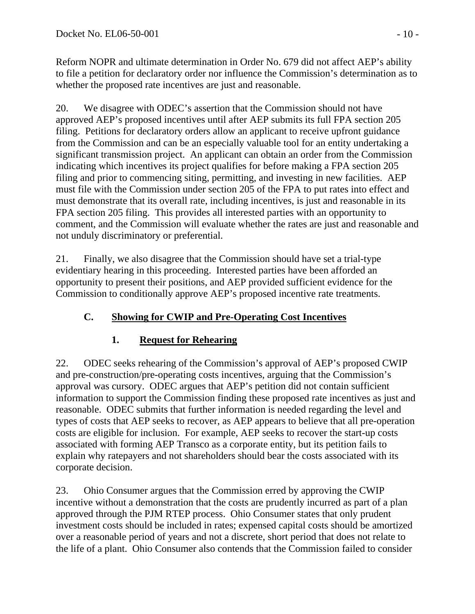Reform NOPR and ultimate determination in Order No. 679 did not affect AEP's ability to file a petition for declaratory order nor influence the Commission's determination as to whether the proposed rate incentives are just and reasonable.

20. We disagree with ODEC's assertion that the Commission should not have approved AEP's proposed incentives until after AEP submits its full FPA section 205 filing. Petitions for declaratory orders allow an applicant to receive upfront guidance from the Commission and can be an especially valuable tool for an entity undertaking a significant transmission project. An applicant can obtain an order from the Commission indicating which incentives its project qualifies for before making a FPA section 205 filing and prior to commencing siting, permitting, and investing in new facilities. AEP must file with the Commission under section 205 of the FPA to put rates into effect and must demonstrate that its overall rate, including incentives, is just and reasonable in its FPA section 205 filing. This provides all interested parties with an opportunity to comment, and the Commission will evaluate whether the rates are just and reasonable and not unduly discriminatory or preferential.

21. Finally, we also disagree that the Commission should have set a trial-type evidentiary hearing in this proceeding. Interested parties have been afforded an opportunity to present their positions, and AEP provided sufficient evidence for the Commission to conditionally approve AEP's proposed incentive rate treatments.

# **C. Showing for CWIP and Pre-Operating Cost Incentives**

## **1. Request for Rehearing**

22. ODEC seeks rehearing of the Commission's approval of AEP's proposed CWIP and pre-construction/pre-operating costs incentives, arguing that the Commission's approval was cursory. ODEC argues that AEP's petition did not contain sufficient information to support the Commission finding these proposed rate incentives as just and reasonable. ODEC submits that further information is needed regarding the level and types of costs that AEP seeks to recover, as AEP appears to believe that all pre-operation costs are eligible for inclusion. For example, AEP seeks to recover the start-up costs associated with forming AEP Transco as a corporate entity, but its petition fails to explain why ratepayers and not shareholders should bear the costs associated with its corporate decision.

23. Ohio Consumer argues that the Commission erred by approving the CWIP incentive without a demonstration that the costs are prudently incurred as part of a plan approved through the PJM RTEP process. Ohio Consumer states that only prudent investment costs should be included in rates; expensed capital costs should be amortized over a reasonable period of years and not a discrete, short period that does not relate to the life of a plant. Ohio Consumer also contends that the Commission failed to consider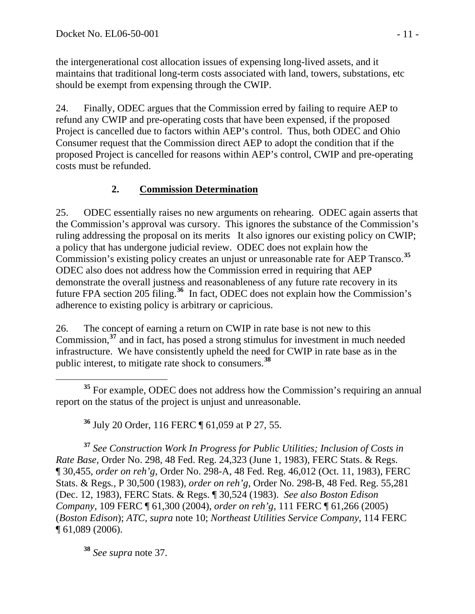the intergenerational cost allocation issues of expensing long-lived assets, and it maintains that traditional long-term costs associated with land, towers, substations, etc should be exempt from expensing through the CWIP.

24. Finally, ODEC argues that the Commission erred by failing to require AEP to refund any CWIP and pre-operating costs that have been expensed, if the proposed Project is cancelled due to factors within AEP's control. Thus, both ODEC and Ohio Consumer request that the Commission direct AEP to adopt the condition that if the proposed Project is cancelled for reasons within AEP's control, CWIP and pre-operating costs must be refunded.

## **2. Commission Determination**

25. ODEC essentially raises no new arguments on rehearing. ODEC again asserts that the Commission's approval was cursory. This ignores the substance of the Commission's ruling addressing the proposal on its merits It also ignores our existing policy on CWIP; a policy that has undergone judicial review. ODEC does not explain how the Commission's existing policy creates an unjust or unreasonable rate for AEP Transco.**[35](#page-10-0)** ODEC also does not address how the Commission erred in requiring that AEP demonstrate the overall justness and reasonableness of any future rate recovery in its future FPA section 205 filing.**[36](#page-10-1)** In fact, ODEC does not explain how the Commission's adherence to existing policy is arbitrary or capricious.

26. The concept of earning a return on CWIP in rate base is not new to this Commission,**[37](#page-10-2)** and in fact, has posed a strong stimulus for investment in much needed infrastructure. We have consistently upheld the need for CWIP in rate base as in the public interest, to mitigate rate shock to consumers.**[38](#page-10-3)**

<span id="page-10-0"></span> **<sup>35</sup>** For example, ODEC does not address how the Commission's requiring an annual report on the status of the project is unjust and unreasonable.

**<sup>36</sup>** July 20 Order, 116 FERC ¶ 61,059 at P 27, 55.

<span id="page-10-2"></span><span id="page-10-1"></span>**<sup>37</sup>** *See Construction Work In Progress for Public Utilities; Inclusion of Costs in Rate Base,* Order No. 298, 48 Fed. Reg. 24,323 (June 1, 1983), FERC Stats. & Regs. ¶ 30,455, *order on reh'g*, Order No. 298-A, 48 Fed. Reg. 46,012 (Oct. 11, 1983), FERC Stats. & Regs*.,* P 30,500 (1983), *order on reh'g*, Order No. 298-B, 48 Fed. Reg. 55,281 (Dec. 12, 1983), FERC Stats. & Regs. ¶ 30,524 (1983). *See also Boston Edison Company,* 109 FERC ¶ 61,300 (2004), *order on reh'g*, 111 FERC ¶ 61,266 (2005) (*Boston Edison*); *ATC, supra* note 10; *Northeast Utilities Service Company*, 114 FERC ¶ 61,089 (2006).

<span id="page-10-3"></span>**<sup>38</sup>** *See supra* note 37.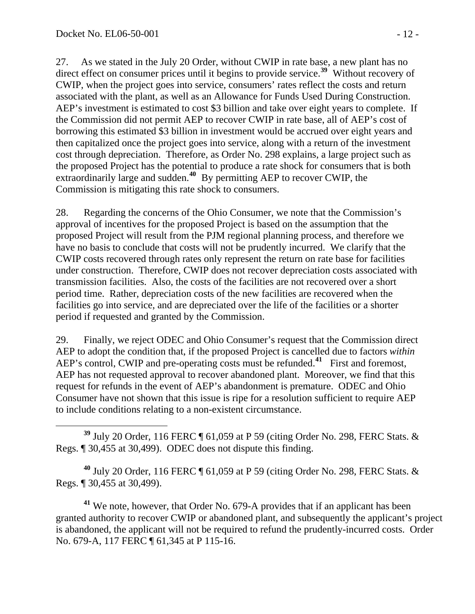27. As we stated in the July 20 Order, without CWIP in rate base, a new plant has no direct effect on consumer prices until it begins to provide service.**[39](#page-11-0)** Without recovery of CWIP, when the project goes into service, consumers' rates reflect the costs and return associated with the plant, as well as an Allowance for Funds Used During Construction. AEP's investment is estimated to cost \$3 billion and take over eight years to complete. If the Commission did not permit AEP to recover CWIP in rate base, all of AEP's cost of borrowing this estimated \$3 billion in investment would be accrued over eight years and then capitalized once the project goes into service, along with a return of the investment cost through depreciation. Therefore, as Order No. 298 explains, a large project such as the proposed Project has the potential to produce a rate shock for consumers that is both extraordinarily large and sudden.**[40](#page-11-1)** By permitting AEP to recover CWIP, the Commission is mitigating this rate shock to consumers.

28. Regarding the concerns of the Ohio Consumer, we note that the Commission's approval of incentives for the proposed Project is based on the assumption that the proposed Project will result from the PJM regional planning process, and therefore we have no basis to conclude that costs will not be prudently incurred. We clarify that the CWIP costs recovered through rates only represent the return on rate base for facilities under construction. Therefore, CWIP does not recover depreciation costs associated with transmission facilities. Also, the costs of the facilities are not recovered over a short period time. Rather, depreciation costs of the new facilities are recovered when the facilities go into service, and are depreciated over the life of the facilities or a shorter period if requested and granted by the Commission.

29. Finally, we reject ODEC and Ohio Consumer's request that the Commission direct AEP to adopt the condition that, if the proposed Project is cancelled due to factors *within* AEP's control, CWIP and pre-operating costs must be refunded.<sup>[41](#page-11-2)</sup> First and foremost, AEP has not requested approval to recover abandoned plant. Moreover, we find that this request for refunds in the event of AEP's abandonment is premature. ODEC and Ohio Consumer have not shown that this issue is ripe for a resolution sufficient to require AEP to include conditions relating to a non-existent circumstance.

<span id="page-11-0"></span> **<sup>39</sup>** July 20 Order, 116 FERC ¶ 61,059 at P 59 (citing Order No. 298, FERC Stats. & Regs. ¶ 30,455 at 30,499). ODEC does not dispute this finding.

<span id="page-11-1"></span>**<sup>40</sup>** July 20 Order, 116 FERC ¶ 61,059 at P 59 (citing Order No. 298, FERC Stats. & Regs. ¶ 30,455 at 30,499).

<span id="page-11-2"></span>**<sup>41</sup>** We note, however, that Order No. 679-A provides that if an applicant has been granted authority to recover CWIP or abandoned plant, and subsequently the applicant's project is abandoned, the applicant will not be required to refund the prudently-incurred costs. Order No. 679-A, 117 FERC ¶ 61,345 at P 115-16.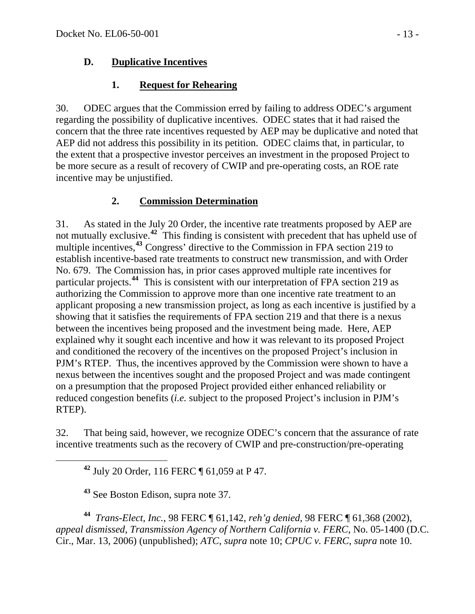### **D. Duplicative Incentives**

## **1. Request for Rehearing**

30. ODEC argues that the Commission erred by failing to address ODEC's argument regarding the possibility of duplicative incentives. ODEC states that it had raised the concern that the three rate incentives requested by AEP may be duplicative and noted that AEP did not address this possibility in its petition. ODEC claims that, in particular, to the extent that a prospective investor perceives an investment in the proposed Project to be more secure as a result of recovery of CWIP and pre-operating costs, an ROE rate incentive may be unjustified.

# **2. Commission Determination**

31. As stated in the July 20 Order, the incentive rate treatments proposed by AEP are not mutually exclusive.**[42](#page-12-0)** This finding is consistent with precedent that has upheld use of multiple incentives,**[43](#page-12-1)** Congress' directive to the Commission in FPA section 219 to establish incentive-based rate treatments to construct new transmission, and with Order No. 679. The Commission has, in prior cases approved multiple rate incentives for particular projects.**[44](#page-12-2)** This is consistent with our interpretation of FPA section 219 as authorizing the Commission to approve more than one incentive rate treatment to an applicant proposing a new transmission project, as long as each incentive is justified by a showing that it satisfies the requirements of FPA section 219 and that there is a nexus between the incentives being proposed and the investment being made. Here, AEP explained why it sought each incentive and how it was relevant to its proposed Project and conditioned the recovery of the incentives on the proposed Project's inclusion in PJM's RTEP. Thus, the incentives approved by the Commission were shown to have a nexus between the incentives sought and the proposed Project and was made contingent on a presumption that the proposed Project provided either enhanced reliability or reduced congestion benefits (*i.e.* subject to the proposed Project's inclusion in PJM's RTEP).

<span id="page-12-0"></span>32. That being said, however, we recognize ODEC's concern that the assurance of rate incentive treatments such as the recovery of CWIP and pre-construction/pre-operating

**<sup>42</sup>** July 20 Order, 116 FERC ¶ 61,059 at P 47.

**<sup>43</sup>** See Boston Edison, supra note 37.

<span id="page-12-2"></span><span id="page-12-1"></span>**<sup>44</sup>** *Trans-Elect, Inc.*, 98 FERC ¶ 61,142, *reh'g denied*, 98 FERC ¶ 61,368 (2002), *appeal dismissed*, *Transmission Agency of Northern California v. FERC*, No. 05-1400 (D.C. Cir., Mar. 13, 2006) (unpublished); *ATC*, *supra* note 10; *CPUC v. FERC*, *supra* note 10.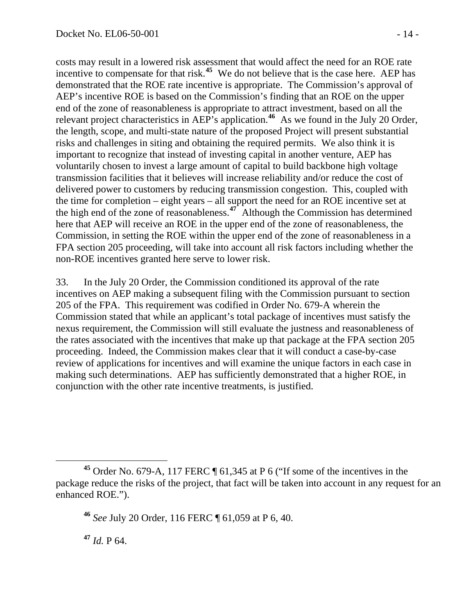costs may result in a lowered risk assessment that would affect the need for an ROE rate incentive to compensate for that risk.**[45](#page-13-0)** We do not believe that is the case here. AEP has demonstrated that the ROE rate incentive is appropriate. The Commission's approval of AEP's incentive ROE is based on the Commission's finding that an ROE on the upper end of the zone of reasonableness is appropriate to attract investment, based on all the relevant project characteristics in AEP's application.**[46](#page-13-1)** As we found in the July 20 Order, the length, scope, and multi-state nature of the proposed Project will present substantial risks and challenges in siting and obtaining the required permits. We also think it is important to recognize that instead of investing capital in another venture, AEP has voluntarily chosen to invest a large amount of capital to build backbone high voltage transmission facilities that it believes will increase reliability and/or reduce the cost of delivered power to customers by reducing transmission congestion. This, coupled with the time for completion – eight years – all support the need for an ROE incentive set at the high end of the zone of reasonableness.**[47](#page-13-2)** Although the Commission has determined here that AEP will receive an ROE in the upper end of the zone of reasonableness, the Commission, in setting the ROE within the upper end of the zone of reasonableness in a FPA section 205 proceeding, will take into account all risk factors including whether the non-ROE incentives granted here serve to lower risk.

33. In the July 20 Order, the Commission conditioned its approval of the rate incentives on AEP making a subsequent filing with the Commission pursuant to section 205 of the FPA. This requirement was codified in Order No. 679-A wherein the Commission stated that while an applicant's total package of incentives must satisfy the nexus requirement, the Commission will still evaluate the justness and reasonableness of the rates associated with the incentives that make up that package at the FPA section 205 proceeding. Indeed, the Commission makes clear that it will conduct a case-by-case review of applications for incentives and will examine the unique factors in each case in making such determinations. AEP has sufficiently demonstrated that a higher ROE, in conjunction with the other rate incentive treatments, is justified.

<span id="page-13-2"></span> $47$  *Id.* P 64.

<span id="page-13-1"></span><span id="page-13-0"></span>**<sup>45</sup>** Order No. 679-A, 117 FERC ¶ 61,345 at P 6 ("If some of the incentives in the package reduce the risks of the project, that fact will be taken into account in any request for an enhanced ROE.").

**<sup>46</sup>** *See* July 20 Order, 116 FERC ¶ 61,059 at P 6, 40.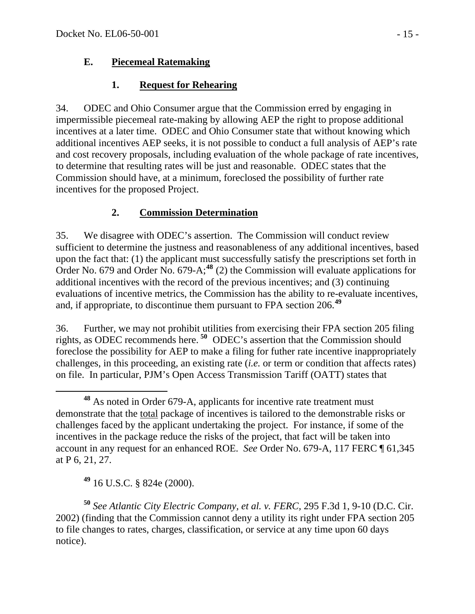### **E. Piecemeal Ratemaking**

## **1. Request for Rehearing**

34. ODEC and Ohio Consumer argue that the Commission erred by engaging in impermissible piecemeal rate-making by allowing AEP the right to propose additional incentives at a later time. ODEC and Ohio Consumer state that without knowing which additional incentives AEP seeks, it is not possible to conduct a full analysis of AEP's rate and cost recovery proposals, including evaluation of the whole package of rate incentives, to determine that resulting rates will be just and reasonable. ODEC states that the Commission should have, at a minimum, foreclosed the possibility of further rate incentives for the proposed Project.

# **2. Commission Determination**

35. We disagree with ODEC's assertion. The Commission will conduct review sufficient to determine the justness and reasonableness of any additional incentives, based upon the fact that: (1) the applicant must successfully satisfy the prescriptions set forth in Order No. 679 and Order No. 679-A;**[48](#page-14-0)** (2) the Commission will evaluate applications for additional incentives with the record of the previous incentives; and (3) continuing evaluations of incentive metrics, the Commission has the ability to re-evaluate incentives, and, if appropriate, to discontinue them pursuant to FPA section 206.**[49](#page-14-1)**

36. Further, we may not prohibit utilities from exercising their FPA section 205 filing rights, as ODEC recommends here. **[50](#page-14-2)** ODEC's assertion that the Commission should foreclose the possibility for AEP to make a filing for futher rate incentive inappropriately challenges, in this proceeding, an existing rate (*i.e.* or term or condition that affects rates) on file. In particular, PJM's Open Access Transmission Tariff (OATT) states that

**<sup>49</sup>** 16 U.S.C. § 824e (2000).

<span id="page-14-2"></span><span id="page-14-1"></span>**<sup>50</sup>** *See Atlantic City Electric Company, et al. v. FERC,* 295 F.3d 1, 9-10 (D.C. Cir. 2002) (finding that the Commission cannot deny a utility its right under FPA section 205 to file changes to rates, charges, classification, or service at any time upon 60 days notice).

<span id="page-14-0"></span>**<sup>48</sup>** As noted in Order 679-A, applicants for incentive rate treatment must demonstrate that the total package of incentives is tailored to the demonstrable risks or challenges faced by the applicant undertaking the project. For instance, if some of the incentives in the package reduce the risks of the project, that fact will be taken into account in any request for an enhanced ROE. *See* Order No. 679-A, 117 FERC ¶ 61,345 at P 6, 21, 27.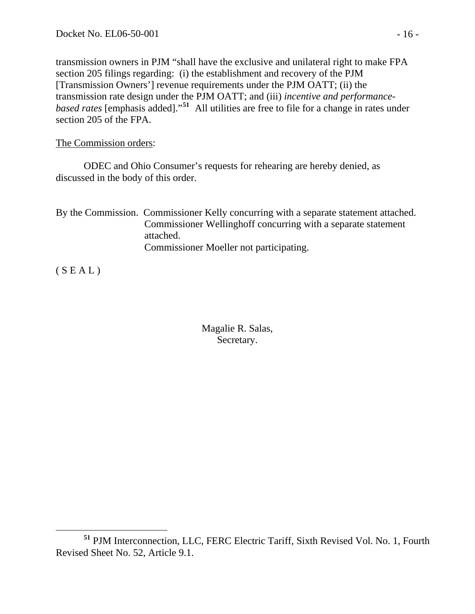transmission owners in PJM "shall have the exclusive and unilateral right to make FPA section 205 filings regarding: (i) the establishment and recovery of the PJM [Transmission Owners'] revenue requirements under the PJM OATT; (ii) the transmission rate design under the PJM OATT; and (iii) *incentive and performancebased rates* [emphasis added]."**[51](#page-15-0)** All utilities are free to file for a change in rates under section 205 of the FPA.

The Commission orders:

 ODEC and Ohio Consumer's requests for rehearing are hereby denied, as discussed in the body of this order.

By the Commission. Commissioner Kelly concurring with a separate statement attached. Commissioner Wellinghoff concurring with a separate statement attached. Commissioner Moeller not participating.

 $(S E A L)$ 

Magalie R. Salas, Secretary.

<span id="page-15-0"></span>**<sup>51</sup>** PJM Interconnection, LLC, FERC Electric Tariff, Sixth Revised Vol. No. 1, Fourth Revised Sheet No. 52, Article 9.1.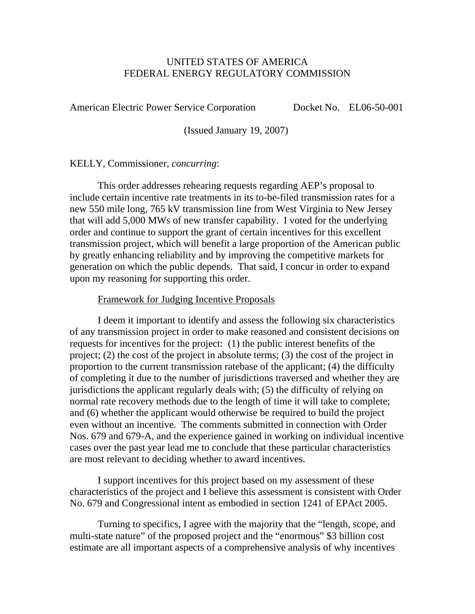#### UNITED STATES OF AMERICA FEDERAL ENERGY REGULATORY COMMISSION

American Electric Power Service Corporation Docket No. EL06-50-001

(Issued January 19, 2007)

#### KELLY, Commissioner, *concurring*:

This order addresses rehearing requests regarding AEP's proposal to include certain incentive rate treatments in its to-be-filed transmission rates for a new 550 mile long, 765 kV transmission line from West Virginia to New Jersey that will add 5,000 MWs of new transfer capability. I voted for the underlying order and continue to support the grant of certain incentives for this excellent transmission project, which will benefit a large proportion of the American public by greatly enhancing reliability and by improving the competitive markets for generation on which the public depends. That said, I concur in order to expand upon my reasoning for supporting this order.

#### Framework for Judging Incentive Proposals

I deem it important to identify and assess the following six characteristics of any transmission project in order to make reasoned and consistent decisions on requests for incentives for the project: (1) the public interest benefits of the project; (2) the cost of the project in absolute terms; (3) the cost of the project in proportion to the current transmission ratebase of the applicant; (4) the difficulty of completing it due to the number of jurisdictions traversed and whether they are jurisdictions the applicant regularly deals with; (5) the difficulty of relying on normal rate recovery methods due to the length of time it will take to complete; and (6) whether the applicant would otherwise be required to build the project even without an incentive. The comments submitted in connection with Order Nos. 679 and 679-A, and the experience gained in working on individual incentive cases over the past year lead me to conclude that these particular characteristics are most relevant to deciding whether to award incentives.

I support incentives for this project based on my assessment of these characteristics of the project and I believe this assessment is consistent with Order No. 679 and Congressional intent as embodied in section 1241 of EPAct 2005.

Turning to specifics, I agree with the majority that the "length, scope, and multi-state nature" of the proposed project and the "enormous" \$3 billion cost estimate are all important aspects of a comprehensive analysis of why incentives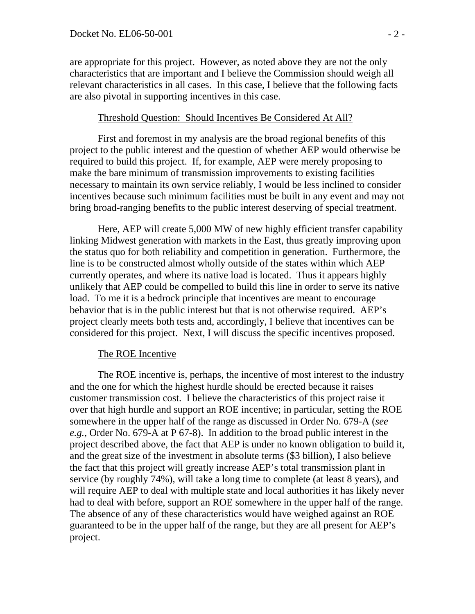are appropriate for this project. However, as noted above they are not the only characteristics that are important and I believe the Commission should weigh all relevant characteristics in all cases. In this case, I believe that the following facts are also pivotal in supporting incentives in this case.

#### Threshold Question: Should Incentives Be Considered At All?

First and foremost in my analysis are the broad regional benefits of this project to the public interest and the question of whether AEP would otherwise be required to build this project. If, for example, AEP were merely proposing to make the bare minimum of transmission improvements to existing facilities necessary to maintain its own service reliably, I would be less inclined to consider incentives because such minimum facilities must be built in any event and may not bring broad-ranging benefits to the public interest deserving of special treatment.

Here, AEP will create 5,000 MW of new highly efficient transfer capability linking Midwest generation with markets in the East, thus greatly improving upon the status quo for both reliability and competition in generation. Furthermore, the line is to be constructed almost wholly outside of the states within which AEP currently operates, and where its native load is located. Thus it appears highly unlikely that AEP could be compelled to build this line in order to serve its native load. To me it is a bedrock principle that incentives are meant to encourage behavior that is in the public interest but that is not otherwise required. AEP's project clearly meets both tests and, accordingly, I believe that incentives can be considered for this project. Next, I will discuss the specific incentives proposed.

#### The ROE Incentive

The ROE incentive is, perhaps, the incentive of most interest to the industry and the one for which the highest hurdle should be erected because it raises customer transmission cost. I believe the characteristics of this project raise it over that high hurdle and support an ROE incentive; in particular, setting the ROE somewhere in the upper half of the range as discussed in Order No. 679-A (*see e.g.*, Order No. 679-A at P 67-8). In addition to the broad public interest in the project described above, the fact that AEP is under no known obligation to build it, and the great size of the investment in absolute terms (\$3 billion), I also believe the fact that this project will greatly increase AEP's total transmission plant in service (by roughly 74%), will take a long time to complete (at least 8 years), and will require AEP to deal with multiple state and local authorities it has likely never had to deal with before, support an ROE somewhere in the upper half of the range. The absence of any of these characteristics would have weighed against an ROE guaranteed to be in the upper half of the range, but they are all present for AEP's project.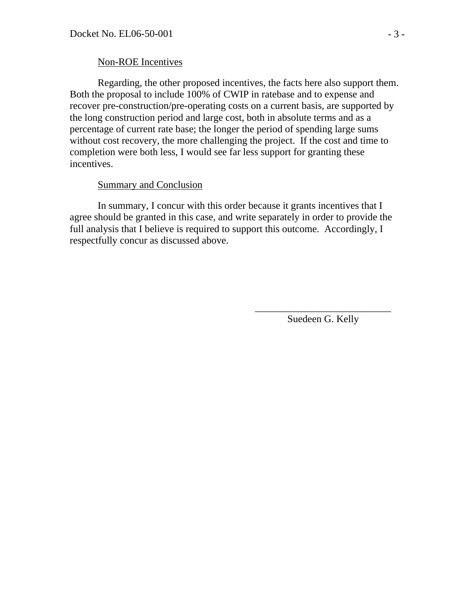#### Non-ROE Incentives

Regarding, the other proposed incentives, the facts here also support them. Both the proposal to include 100% of CWIP in ratebase and to expense and recover pre-construction/pre-operating costs on a current basis, are supported by the long construction period and large cost, both in absolute terms and as a percentage of current rate base; the longer the period of spending large sums without cost recovery, the more challenging the project. If the cost and time to completion were both less, I would see far less support for granting these incentives.

#### Summary and Conclusion

In summary, I concur with this order because it grants incentives that I agree should be granted in this case, and write separately in order to provide the full analysis that I believe is required to support this outcome. Accordingly, I respectfully concur as discussed above.

> \_\_\_\_\_\_\_\_\_\_\_\_\_\_\_\_\_\_\_\_\_\_\_\_\_\_\_ Suedeen G. Kelly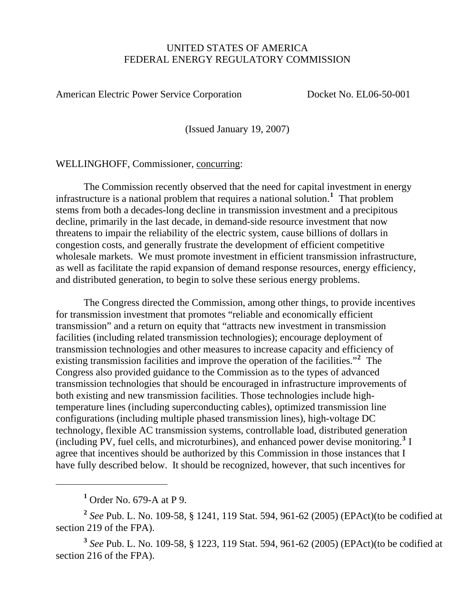#### UNITED STATES OF AMERICA FEDERAL ENERGY REGULATORY COMMISSION

American Electric Power Service Corporation Docket No. EL06-50-001

(Issued January 19, 2007)

WELLINGHOFF, Commissioner, concurring:

 The Commission recently observed that the need for capital investment in energy infrastructure is a national problem that requires a national solution.**[1](#page-19-0)** That problem stems from both a decades-long decline in transmission investment and a precipitous decline, primarily in the last decade, in demand-side resource investment that now threatens to impair the reliability of the electric system, cause billions of dollars in congestion costs, and generally frustrate the development of efficient competitive wholesale markets. We must promote investment in efficient transmission infrastructure, as well as facilitate the rapid expansion of demand response resources, energy efficiency, and distributed generation, to begin to solve these serious energy problems.

 The Congress directed the Commission, among other things, to provide incentives for transmission investment that promotes "reliable and economically efficient transmission" and a return on equity that "attracts new investment in transmission facilities (including related transmission technologies); encourage deployment of transmission technologies and other measures to increase capacity and efficiency of existing transmission facilities and improve the operation of the facilities."**[2](#page-19-1)** The Congress also provided guidance to the Commission as to the types of advanced transmission technologies that should be encouraged in infrastructure improvements of both existing and new transmission facilities. Those technologies include hightemperature lines (including superconducting cables), optimized transmission line configurations (including multiple phased transmission lines), high-voltage DC technology, flexible AC transmission systems, controllable load, distributed generation (including PV, fuel cells, and microturbines), and enhanced power devise monitoring.**[3](#page-19-2)** I agree that incentives should be authorized by this Commission in those instances that I have fully described below. It should be recognized, however, that such incentives for

**1** Order No. 679-A at P 9.

 $\overline{a}$ 

<span id="page-19-1"></span><span id="page-19-0"></span>**<sup>2</sup>** *See* Pub. L. No. 109-58, § 1241, 119 Stat. 594, 961-62 (2005) (EPAct)(to be codified at section 219 of the FPA).

<span id="page-19-2"></span>**<sup>3</sup>** *See* Pub. L. No. 109-58, § 1223, 119 Stat. 594, 961-62 (2005) (EPAct)(to be codified at section 216 of the FPA).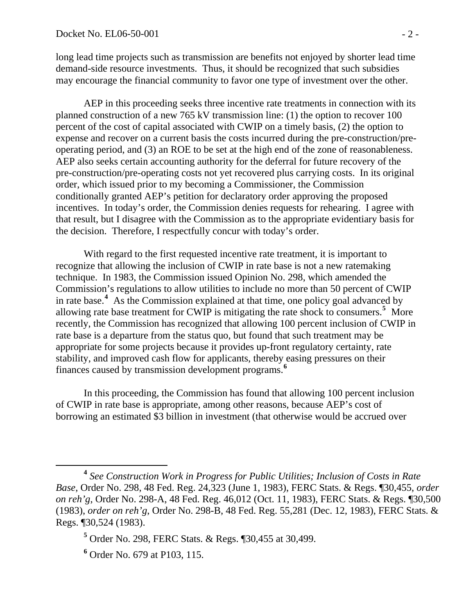long lead time projects such as transmission are benefits not enjoyed by shorter lead time demand-side resource investments. Thus, it should be recognized that such subsidies may encourage the financial community to favor one type of investment over the other.

 AEP in this proceeding seeks three incentive rate treatments in connection with its planned construction of a new 765 kV transmission line: (1) the option to recover 100 percent of the cost of capital associated with CWIP on a timely basis, (2) the option to expense and recover on a current basis the costs incurred during the pre-construction/preoperating period, and (3) an ROE to be set at the high end of the zone of reasonableness. AEP also seeks certain accounting authority for the deferral for future recovery of the pre-construction/pre-operating costs not yet recovered plus carrying costs. In its original order, which issued prior to my becoming a Commissioner, the Commission conditionally granted AEP's petition for declaratory order approving the proposed incentives. In today's order, the Commission denies requests for rehearing. I agree with that result, but I disagree with the Commission as to the appropriate evidentiary basis for the decision. Therefore, I respectfully concur with today's order.

 With regard to the first requested incentive rate treatment, it is important to recognize that allowing the inclusion of CWIP in rate base is not a new ratemaking technique. In 1983, the Commission issued Opinion No. 298, which amended the Commission's regulations to allow utilities to include no more than 50 percent of CWIP in rate base.**[4](#page-20-0)** As the Commission explained at that time, one policy goal advanced by allowing rate base treatment for CWIP is mitigating the rate shock to consumers.<sup>[5](#page-20-1)</sup> More recently, the Commission has recognized that allowing 100 percent inclusion of CWIP in rate base is a departure from the status quo, but found that such treatment may be appropriate for some projects because it provides up-front regulatory certainty, rate stability, and improved cash flow for applicants, thereby easing pressures on their finances caused by transmission development programs.**[6](#page-20-2)**

In this proceeding, the Commission has found that allowing 100 percent inclusion of CWIP in rate base is appropriate, among other reasons, because AEP's cost of borrowing an estimated \$3 billion in investment (that otherwise would be accrued over

 $\overline{a}$ 

<span id="page-20-0"></span>**<sup>4</sup>** *See Construction Work in Progress for Public Utilities; Inclusion of Costs in Rate Base*, Order No. 298, 48 Fed. Reg. 24,323 (June 1, 1983), FERC Stats. & Regs. ¶30,455, *order on reh'g*, Order No. 298-A, 48 Fed. Reg. 46,012 (Oct. 11, 1983), FERC Stats. & Regs. ¶30,500 (1983), *order on reh'g*, Order No. 298-B, 48 Fed. Reg. 55,281 (Dec. 12, 1983), FERC Stats. & Regs. ¶30,524 (1983).

**<sup>5</sup>** Order No. 298, FERC Stats. & Regs. ¶30,455 at 30,499.

<span id="page-20-2"></span><span id="page-20-1"></span>**<sup>6</sup>** Order No. 679 at P103, 115.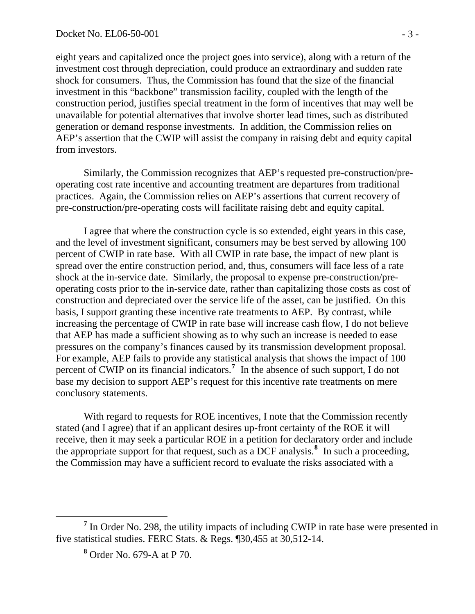eight years and capitalized once the project goes into service), along with a return of the investment cost through depreciation, could produce an extraordinary and sudden rate shock for consumers. Thus, the Commission has found that the size of the financial investment in this "backbone" transmission facility, coupled with the length of the construction period, justifies special treatment in the form of incentives that may well be unavailable for potential alternatives that involve shorter lead times, such as distributed generation or demand response investments. In addition, the Commission relies on AEP's assertion that the CWIP will assist the company in raising debt and equity capital from investors.

Similarly, the Commission recognizes that AEP's requested pre-construction/preoperating cost rate incentive and accounting treatment are departures from traditional practices. Again, the Commission relies on AEP's assertions that current recovery of pre-construction/pre-operating costs will facilitate raising debt and equity capital.

I agree that where the construction cycle is so extended, eight years in this case, and the level of investment significant, consumers may be best served by allowing 100 percent of CWIP in rate base. With all CWIP in rate base, the impact of new plant is spread over the entire construction period, and, thus, consumers will face less of a rate shock at the in-service date. Similarly, the proposal to expense pre-construction/preoperating costs prior to the in-service date, rather than capitalizing those costs as cost of construction and depreciated over the service life of the asset, can be justified. On this basis, I support granting these incentive rate treatments to AEP. By contrast, while increasing the percentage of CWIP in rate base will increase cash flow, I do not believe that AEP has made a sufficient showing as to why such an increase is needed to ease pressures on the company's finances caused by its transmission development proposal. For example, AEP fails to provide any statistical analysis that shows the impact of 100 percent of CWIP on its financial indicators.<sup>[7](#page-21-0)</sup> In the absence of such support, I do not base my decision to support AEP's request for this incentive rate treatments on mere conclusory statements.

With regard to requests for ROE incentives, I note that the Commission recently stated (and I agree) that if an applicant desires up-front certainty of the ROE it will receive, then it may seek a particular ROE in a petition for declaratory order and include the appropriate support for that request, such as a DCF analysis.**[8](#page-21-1)** In such a proceeding, the Commission may have a sufficient record to evaluate the risks associated with a

<span id="page-21-1"></span><span id="page-21-0"></span><sup>&</sup>lt;sup>7</sup> In Order No. 298, the utility impacts of including CWIP in rate base were presented in five statistical studies. FERC Stats. & Regs. ¶30,455 at 30,512-14.

**<sup>8</sup>** Order No. 679-A at P 70.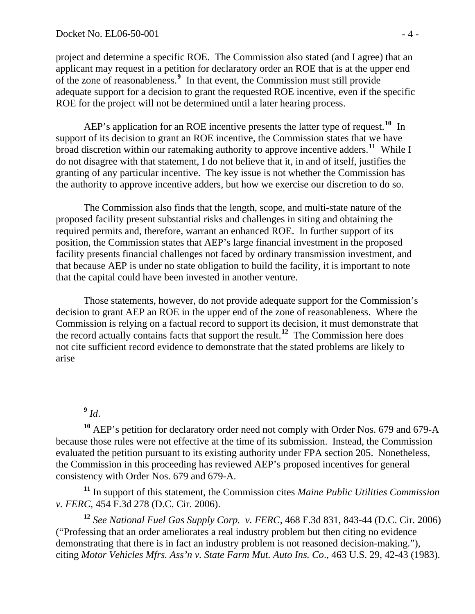project and determine a specific ROE. The Commission also stated (and I agree) that an applicant may request in a petition for declaratory order an ROE that is at the upper end of the zone of reasonableness.**[9](#page-22-0)** In that event, the Commission must still provide adequate support for a decision to grant the requested ROE incentive, even if the specific ROE for the project will not be determined until a later hearing process.

AEP's application for an ROE incentive presents the latter type of request.**[10](#page-22-1)** In support of its decision to grant an ROE incentive, the Commission states that we have broad discretion within our ratemaking authority to approve incentive adders.**[11](#page-22-2)** While I do not disagree with that statement, I do not believe that it, in and of itself, justifies the granting of any particular incentive. The key issue is not whether the Commission has the authority to approve incentive adders, but how we exercise our discretion to do so.

The Commission also finds that the length, scope, and multi-state nature of the proposed facility present substantial risks and challenges in siting and obtaining the required permits and, therefore, warrant an enhanced ROE. In further support of its position, the Commission states that AEP's large financial investment in the proposed facility presents financial challenges not faced by ordinary transmission investment, and that because AEP is under no state obligation to build the facility, it is important to note that the capital could have been invested in another venture.

Those statements, however, do not provide adequate support for the Commission's decision to grant AEP an ROE in the upper end of the zone of reasonableness. Where the Commission is relying on a factual record to support its decision, it must demonstrate that the record actually contains facts that support the result.**[12](#page-22-3)** The Commission here does not cite sufficient record evidence to demonstrate that the stated problems are likely to arise

 $\overline{a}$ 

<span id="page-22-2"></span>**<sup>11</sup>** In support of this statement, the Commission cites *Maine Public Utilities Commission v. FERC*, 454 F.3d 278 (D.C. Cir. 2006).

<span id="page-22-3"></span>**<sup>12</sup>** *See National Fuel Gas Supply Corp. v. FERC*, 468 F.3d 831, 843-44 (D.C. Cir. 2006) ("Professing that an order ameliorates a real industry problem but then citing no evidence demonstrating that there is in fact an industry problem is not reasoned decision-making."), citing *Motor Vehicles Mfrs. Ass'n v. State Farm Mut. Auto Ins. Co*., 463 U.S. 29, 42-43 (1983).

 $9$   $Id.$ 

<span id="page-22-1"></span><span id="page-22-0"></span>**<sup>10</sup>** AEP's petition for declaratory order need not comply with Order Nos. 679 and 679-A because those rules were not effective at the time of its submission. Instead, the Commission evaluated the petition pursuant to its existing authority under FPA section 205. Nonetheless, the Commission in this proceeding has reviewed AEP's proposed incentives for general consistency with Order Nos. 679 and 679-A.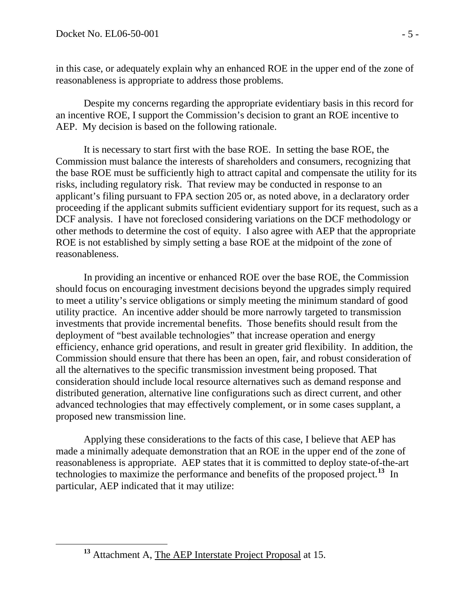in this case, or adequately explain why an enhanced ROE in the upper end of the zone of reasonableness is appropriate to address those problems.

Despite my concerns regarding the appropriate evidentiary basis in this record for an incentive ROE, I support the Commission's decision to grant an ROE incentive to AEP. My decision is based on the following rationale.

It is necessary to start first with the base ROE. In setting the base ROE, the Commission must balance the interests of shareholders and consumers, recognizing that the base ROE must be sufficiently high to attract capital and compensate the utility for its risks, including regulatory risk. That review may be conducted in response to an applicant's filing pursuant to FPA section 205 or, as noted above, in a declaratory order proceeding if the applicant submits sufficient evidentiary support for its request, such as a DCF analysis. I have not foreclosed considering variations on the DCF methodology or other methods to determine the cost of equity. I also agree with AEP that the appropriate ROE is not established by simply setting a base ROE at the midpoint of the zone of reasonableness.

In providing an incentive or enhanced ROE over the base ROE, the Commission should focus on encouraging investment decisions beyond the upgrades simply required to meet a utility's service obligations or simply meeting the minimum standard of good utility practice. An incentive adder should be more narrowly targeted to transmission investments that provide incremental benefits. Those benefits should result from the deployment of "best available technologies" that increase operation and energy efficiency, enhance grid operations, and result in greater grid flexibility. In addition, the Commission should ensure that there has been an open, fair, and robust consideration of all the alternatives to the specific transmission investment being proposed. That consideration should include local resource alternatives such as demand response and distributed generation, alternative line configurations such as direct current, and other advanced technologies that may effectively complement, or in some cases supplant, a proposed new transmission line.

Applying these considerations to the facts of this case, I believe that AEP has made a minimally adequate demonstration that an ROE in the upper end of the zone of reasonableness is appropriate. AEP states that it is committed to deploy state-of-the-art technologies to maximize the performance and benefits of the proposed project.**[13](#page-23-0)** In particular, AEP indicated that it may utilize:

<span id="page-23-0"></span>

**<sup>13</sup>** Attachment A, The AEP Interstate Project Proposal at 15.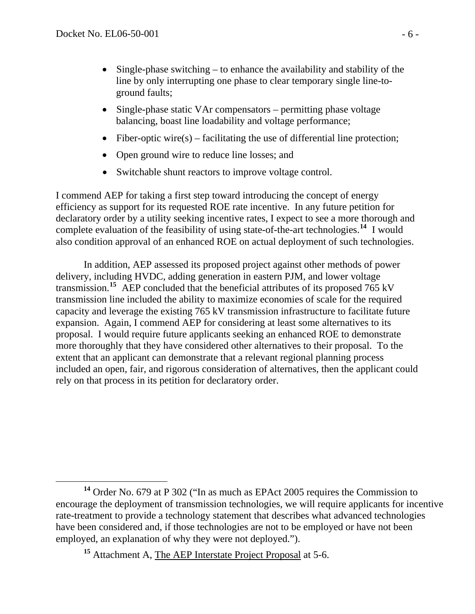- Single-phase switching to enhance the availability and stability of the line by only interrupting one phase to clear temporary single line-toground faults;
- Single-phase static VAr compensators permitting phase voltage balancing, boast line loadability and voltage performance;
- Fiber-optic wire(s) facilitating the use of differential line protection;
- Open ground wire to reduce line losses; and
- Switchable shunt reactors to improve voltage control.

I commend AEP for taking a first step toward introducing the concept of energy efficiency as support for its requested ROE rate incentive. In any future petition for declaratory order by a utility seeking incentive rates, I expect to see a more thorough and complete evaluation of the feasibility of using state-of-the-art technologies.**[14](#page-24-0)** I would also condition approval of an enhanced ROE on actual deployment of such technologies.

In addition, AEP assessed its proposed project against other methods of power delivery, including HVDC, adding generation in eastern PJM, and lower voltage transmission.**[15](#page-24-1)** AEP concluded that the beneficial attributes of its proposed 765 kV transmission line included the ability to maximize economies of scale for the required capacity and leverage the existing 765 kV transmission infrastructure to facilitate future expansion. Again, I commend AEP for considering at least some alternatives to its proposal. I would require future applicants seeking an enhanced ROE to demonstrate more thoroughly that they have considered other alternatives to their proposal. To the extent that an applicant can demonstrate that a relevant regional planning process included an open, fair, and rigorous consideration of alternatives, then the applicant could rely on that process in its petition for declaratory order.

<span id="page-24-0"></span> $\overline{a}$ **<sup>14</sup>** Order No. 679 at P 302 ("In as much as EPAct 2005 requires the Commission to encourage the deployment of transmission technologies, we will require applicants for incentive rate-treatment to provide a technology statement that describes what advanced technologies have been considered and, if those technologies are not to be employed or have not been employed, an explanation of why they were not deployed.").

<span id="page-24-1"></span>**<sup>15</sup>** Attachment A, The AEP Interstate Project Proposal at 5-6.